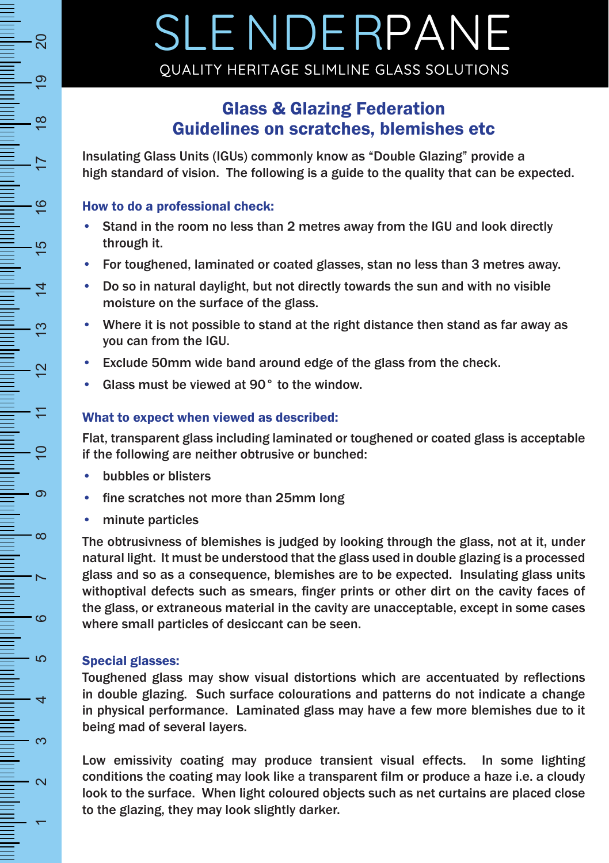## Glass & Glazing Federation Guidelines on scratches, blemishes etc

Insulating Glass Units (IGUs) commonly know as "Double Glazing" provide a high standard of vision. The following is a guide to the quality that can be expected.

#### How to do a professional check:

- Stand in the room no less than 2 metres away from the IGU and look directly through it.
- For toughened, laminated or coated glasses, stan no less than 3 metres away.
- Do so in natural daylight, but not directly towards the sun and with no visible moisture on the surface of the glass.
- Where it is not possible to stand at the right distance then stand as far away as you can from the IGU.
- Exclude 50mm wide band around edge of the glass from the check.
- Glass must be viewed at 90° to the window.

### What to expect when viewed as described:

Flat, transparent glass including laminated or toughened or coated glass is acceptable if the following are neither obtrusive or bunched:

- bubbles or blisters
- fine scratches not more than 25mm long
- minute particles

The obtrusivness of blemishes is judged by looking through the glass, not at it, under natural light. It must be understood that the glass used in double glazing is a processed glass and so as a consequence, blemishes are to be expected. Insulating glass units withoptival defects such as smears, finger prints or other dirt on the cavity faces of the glass, or extraneous material in the cavity are unacceptable, except in some cases where small particles of desiccant can be seen.

### Special glasses:

Toughened glass may show visual distortions which are accentuated by reflections in double glazing. Such surface colourations and patterns do not indicate a change in physical performance. Laminated glass may have a few more blemishes due to it being mad of several layers.

Low emissivity coating may produce transient visual effects. In some lighting conditions the coating may look like a transparent film or produce a haze i.e. a cloudy look to the surface. When light coloured objects such as net curtains are placed close to the glazing, they may look slightly darker.